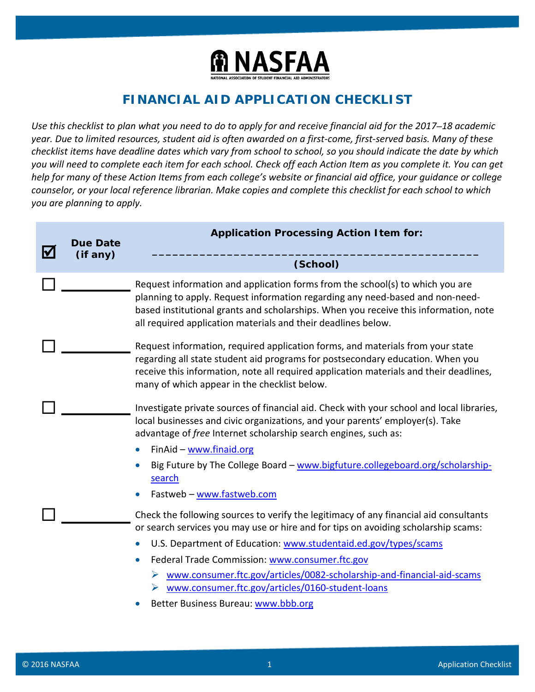

## **FINANCIAL AID APPLICATION CHECKLIST**

*Use this checklist to plan what you need to do to apply for and receive financial aid for the 2017–18 academic year. Due to limited resources, student aid is often awarded on a first-come, first-served basis. Many of these checklist items have deadline dates which vary from school to school, so you should indicate the date by which you will need to complete each item for each school. Check off each Action Item as you complete it. You can get help for many of these Action Items from each college's website or financial aid office, your guidance or college counselor, or your local reference librarian. Make copies and complete this checklist for each school to which you are planning to apply.*

| <b>Due Date</b> | <b>Application Processing Action I tem for:</b>                                                                                                                                                                                                                                                                                                                                                                                                                                         |
|-----------------|-----------------------------------------------------------------------------------------------------------------------------------------------------------------------------------------------------------------------------------------------------------------------------------------------------------------------------------------------------------------------------------------------------------------------------------------------------------------------------------------|
|                 | (School)                                                                                                                                                                                                                                                                                                                                                                                                                                                                                |
|                 | Request information and application forms from the school(s) to which you are<br>planning to apply. Request information regarding any need-based and non-need-<br>based institutional grants and scholarships. When you receive this information, note<br>all required application materials and their deadlines below.                                                                                                                                                                 |
|                 | Request information, required application forms, and materials from your state<br>regarding all state student aid programs for postsecondary education. When you<br>receive this information, note all required application materials and their deadlines,<br>many of which appear in the checklist below.                                                                                                                                                                              |
|                 | Investigate private sources of financial aid. Check with your school and local libraries,<br>local businesses and civic organizations, and your parents' employer(s). Take<br>advantage of free Internet scholarship search engines, such as:                                                                                                                                                                                                                                           |
|                 | FinAid - www.finaid.org<br>$\bullet$<br>Big Future by The College Board - www.bigfuture.collegeboard.org/scholarship-<br>search<br>Fastweb - www.fastweb.com                                                                                                                                                                                                                                                                                                                            |
|                 | Check the following sources to verify the legitimacy of any financial aid consultants<br>or search services you may use or hire and for tips on avoiding scholarship scams:<br>U.S. Department of Education: www.studentaid.ed.gov/types/scams<br>Federal Trade Commission: www.consumer.ftc.gov<br>$\bullet$<br>www.consumer.ftc.gov/articles/0082-scholarship-and-financial-aid-scams<br>www.consumer.ftc.gov/articles/0160-student-loans<br>➤<br>Better Business Bureau: www.bbb.org |
|                 | (if any)                                                                                                                                                                                                                                                                                                                                                                                                                                                                                |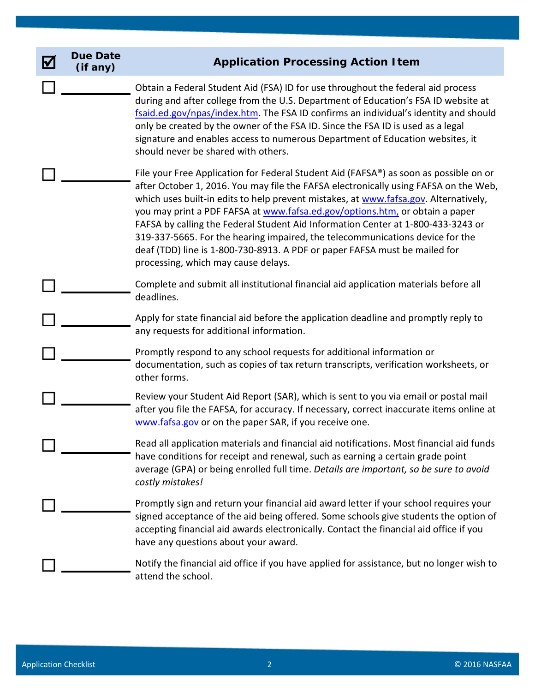| <u>V</u> | <b>Due Date</b><br>(if any) | <b>Application Processing Action Item</b>                                                                                                                                                                                                                                                                                                                                                                                                                                                                                                                                                                                                       |
|----------|-----------------------------|-------------------------------------------------------------------------------------------------------------------------------------------------------------------------------------------------------------------------------------------------------------------------------------------------------------------------------------------------------------------------------------------------------------------------------------------------------------------------------------------------------------------------------------------------------------------------------------------------------------------------------------------------|
|          |                             | Obtain a Federal Student Aid (FSA) ID for use throughout the federal aid process<br>during and after college from the U.S. Department of Education's FSA ID website at<br>fsaid.ed.gov/npas/index.htm. The FSA ID confirms an individual's identity and should<br>only be created by the owner of the FSA ID. Since the FSA ID is used as a legal<br>signature and enables access to numerous Department of Education websites, it<br>should never be shared with others.                                                                                                                                                                       |
|          |                             | File your Free Application for Federal Student Aid (FAFSA®) as soon as possible on or<br>after October 1, 2016. You may file the FAFSA electronically using FAFSA on the Web,<br>which uses built-in edits to help prevent mistakes, at www.fafsa.gov. Alternatively,<br>you may print a PDF FAFSA at www.fafsa.ed.gov/options.htm, or obtain a paper<br>FAFSA by calling the Federal Student Aid Information Center at 1-800-433-3243 or<br>319-337-5665. For the hearing impaired, the telecommunications device for the<br>deaf (TDD) line is 1-800-730-8913. A PDF or paper FAFSA must be mailed for<br>processing, which may cause delays. |
|          |                             | Complete and submit all institutional financial aid application materials before all<br>deadlines.                                                                                                                                                                                                                                                                                                                                                                                                                                                                                                                                              |
|          |                             | Apply for state financial aid before the application deadline and promptly reply to<br>any requests for additional information.                                                                                                                                                                                                                                                                                                                                                                                                                                                                                                                 |
|          |                             | Promptly respond to any school requests for additional information or<br>documentation, such as copies of tax return transcripts, verification worksheets, or<br>other forms.                                                                                                                                                                                                                                                                                                                                                                                                                                                                   |
|          |                             | Review your Student Aid Report (SAR), which is sent to you via email or postal mail<br>after you file the FAFSA, for accuracy. If necessary, correct inaccurate items online at<br>www.fafsa.gov or on the paper SAR, if you receive one.                                                                                                                                                                                                                                                                                                                                                                                                       |
|          |                             | Read all application materials and financial aid notifications. Most financial aid funds<br>have conditions for receipt and renewal, such as earning a certain grade point<br>average (GPA) or being enrolled full time. Details are important, so be sure to avoid<br>costly mistakes!                                                                                                                                                                                                                                                                                                                                                         |
|          |                             | Promptly sign and return your financial aid award letter if your school requires your<br>signed acceptance of the aid being offered. Some schools give students the option of<br>accepting financial aid awards electronically. Contact the financial aid office if you<br>have any questions about your award.                                                                                                                                                                                                                                                                                                                                 |
|          |                             | Notify the financial aid office if you have applied for assistance, but no longer wish to<br>attend the school.                                                                                                                                                                                                                                                                                                                                                                                                                                                                                                                                 |